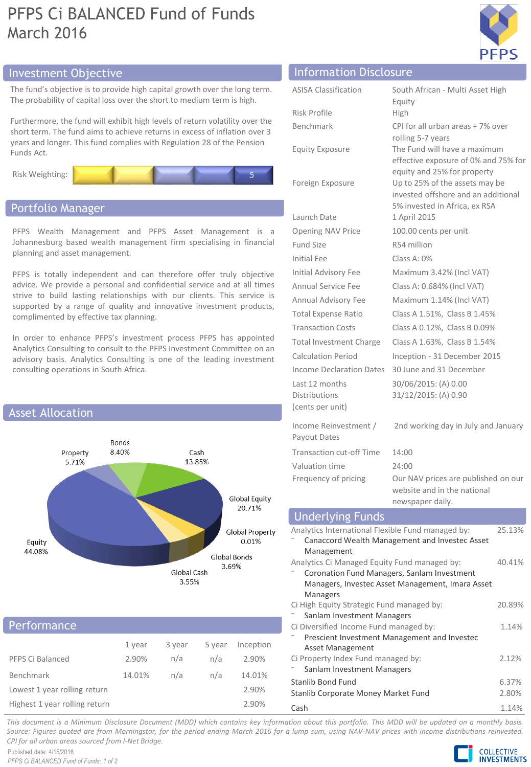# PFPS Ci BALANCED Fund of Funds March 2016



# Investment Objective Information Disclosure

The fund's objective is to provide high capital growth over the long term. The probability of capital loss over the short to medium term is high.

Furthermore, the fund will exhibit high levels of return volatility over the short term. The fund aims to achieve returns in excess of inflation over 3 years and longer. This fund complies with Regulation 28 of the Pension Funds Act.



## Portfolio Manager

PFPS Wealth Management and PFPS Asset Management is a Johannesburg based wealth management firm specialising in financial planning and asset management.

PFPS is totally independent and can therefore offer truly objective advice. We provide a personal and confidential service and at all times strive to build lasting relationships with our clients. This service is supported by a range of quality and innovative investment products, complimented by effective tax planning.

In order to enhance PFPS's investment process PFPS has appointed Analytics Consulting to consult to the PFPS Investment Committee on an advisory basis. Analytics Consulting is one of the leading investment consulting operations in South Africa.



# Performance

| PFPS Ci Balanced              | 1 year<br>2.90% | 3 year<br>n/a | 5 year<br>n/a | Inception<br>2.90% |  |
|-------------------------------|-----------------|---------------|---------------|--------------------|--|
| Benchmark                     | 14.01%          | n/a           | n/a           | 14.01%             |  |
| Lowest 1 year rolling return  |                 |               |               | 2.90%              |  |
| Highest 1 year rolling return |                 |               |               | 2.90%              |  |

| <b>INTOINTACIÓN DISCLUSULE</b>                      |                                                                                                        |  |  |  |
|-----------------------------------------------------|--------------------------------------------------------------------------------------------------------|--|--|--|
| <b>ASISA Classification</b>                         | South African - Multi Asset High                                                                       |  |  |  |
|                                                     | Equity                                                                                                 |  |  |  |
| Risk Profile                                        | High                                                                                                   |  |  |  |
| <b>Benchmark</b>                                    | CPI for all urban areas + 7% over<br>rolling 5-7 years                                                 |  |  |  |
| <b>Equity Exposure</b>                              | The Fund will have a maximum<br>effective exposure of 0% and 75% for<br>equity and 25% for property    |  |  |  |
| Foreign Exposure                                    | Up to 25% of the assets may be<br>invested offshore and an additional<br>5% invested in Africa, ex RSA |  |  |  |
| Launch Date                                         | 1 April 2015                                                                                           |  |  |  |
| <b>Opening NAV Price</b>                            | 100.00 cents per unit                                                                                  |  |  |  |
| <b>Fund Size</b>                                    | R54 million                                                                                            |  |  |  |
| <b>Initial Fee</b>                                  | Class A: 0%                                                                                            |  |  |  |
| <b>Initial Advisory Fee</b>                         | Maximum 3.42% (Incl VAT)                                                                               |  |  |  |
| Annual Service Fee                                  | Class A: 0.684% (Incl VAT)                                                                             |  |  |  |
| Annual Advisory Fee                                 | Maximum 1.14% (Incl VAT)                                                                               |  |  |  |
| Total Expense Ratio                                 | Class A 1.51%, Class B 1.45%                                                                           |  |  |  |
| <b>Transaction Costs</b>                            | Class A 0.12%, Class B 0.09%                                                                           |  |  |  |
| <b>Total Investment Charge</b>                      | Class A 1.63%, Class B 1.54%                                                                           |  |  |  |
| <b>Calculation Period</b>                           | Inception - 31 December 2015                                                                           |  |  |  |
| <b>Income Declaration Dates</b>                     | 30 June and 31 December                                                                                |  |  |  |
| Last 12 months<br>Distributions<br>(cents per unit) | 30/06/2015: (A) 0.00<br>31/12/2015: (A) 0.90                                                           |  |  |  |
| Income Reinvestment /<br>Payout Dates               | 2nd working day in July and January                                                                    |  |  |  |
| <b>Transaction cut-off Time</b>                     | 14:00                                                                                                  |  |  |  |
| Valuation time                                      | 24:00                                                                                                  |  |  |  |
| Frequency of pricing                                | Our NAV prices are published on our<br>website and in the national<br>newspaper daily.                 |  |  |  |
| <b>Underlying Funds</b>                             |                                                                                                        |  |  |  |
| Analytics International Flexible Fund managed by:   | 25.13%                                                                                                 |  |  |  |
|                                                     | Canaccord Wealth Management and Invester Asset                                                         |  |  |  |

#### Analytics International Flexible Fund managed by: ⁻ Canaccord Wealth Management and Investec Asset Management Analytics Ci Managed Equity Fund managed by: ⁻ Coronation Fund Managers, Sanlam Investment Managers, Investec Asset Management, Imara Asset Managers 40.41% Ci High Equity Strategic Fund managed by: Sanlam Investment Managers 20.89% Ci Diversified Income Fund managed by: ⁻ Prescient Investment Management and Investec Asset Management 1.14% Ci Property Index Fund managed by: Sanlam Investment Managers 2.12% Stanlib Bond Fund 6.37%

| Stanlib Bond Fund                   | 6.37% |
|-------------------------------------|-------|
| Stanlib Corporate Money Market Fund | 2.80% |
| Cash                                | 1.14% |

This document is a Minimum Disclosure Document (MDD) which contains key information about this portfolio. This MDD will be updated on a monthly basis. Source: Figures quoted are from Morningstar, for the period ending March 2016 for a lump sum, using NAV-NAV prices with income distributions reinvested. *CPI for all urban areas sourced from I-Net Bridge.*

Published date: 4/15/2016 *PFPS Ci BALANCED Fund of Funds: 1 of 2*